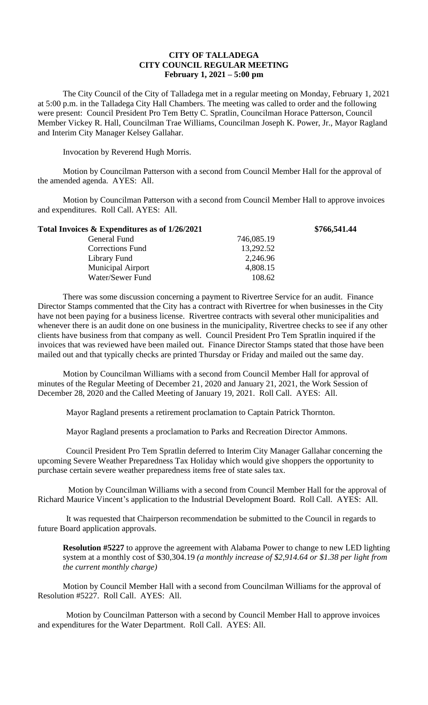## **CITY OF TALLADEGA CITY COUNCIL REGULAR MEETING February 1, 2021 – 5:00 pm**

The City Council of the City of Talladega met in a regular meeting on Monday, February 1, 2021 at 5:00 p.m. in the Talladega City Hall Chambers. The meeting was called to order and the following were present: Council President Pro Tem Betty C. Spratlin, Councilman Horace Patterson, Council Member Vickey R. Hall, Councilman Trae Williams, Councilman Joseph K. Power, Jr., Mayor Ragland and Interim City Manager Kelsey Gallahar.

Invocation by Reverend Hugh Morris.

Motion by Councilman Patterson with a second from Council Member Hall for the approval of the amended agenda. AYES: All.

Motion by Councilman Patterson with a second from Council Member Hall to approve invoices and expenditures. Roll Call. AYES: All.

| Total Invoices $\&$ Expenditures as of $1/26/2021$ |            | \$766,541.44 |
|----------------------------------------------------|------------|--------------|
| General Fund                                       | 746,085.19 |              |
| <b>Corrections Fund</b>                            | 13,292.52  |              |
| Library Fund                                       | 2,246.96   |              |
| <b>Municipal Airport</b>                           | 4,808.15   |              |
| Water/Sewer Fund                                   | 108.62     |              |

There was some discussion concerning a payment to Rivertree Service for an audit. Finance Director Stamps commented that the City has a contract with Rivertree for when businesses in the City have not been paying for a business license. Rivertree contracts with several other municipalities and whenever there is an audit done on one business in the municipality, Rivertree checks to see if any other clients have business from that company as well. Council President Pro Tem Spratlin inquired if the invoices that was reviewed have been mailed out. Finance Director Stamps stated that those have been mailed out and that typically checks are printed Thursday or Friday and mailed out the same day.

Motion by Councilman Williams with a second from Council Member Hall for approval of minutes of the Regular Meeting of December 21, 2020 and January 21, 2021, the Work Session of December 28, 2020 and the Called Meeting of January 19, 2021. Roll Call. AYES: All.

Mayor Ragland presents a retirement proclamation to Captain Patrick Thornton.

Mayor Ragland presents a proclamation to Parks and Recreation Director Ammons.

Council President Pro Tem Spratlin deferred to Interim City Manager Gallahar concerning the upcoming Severe Weather Preparedness Tax Holiday which would give shoppers the opportunity to purchase certain severe weather preparedness items free of state sales tax.

Motion by Councilman Williams with a second from Council Member Hall for the approval of Richard Maurice Vincent's application to the Industrial Development Board. Roll Call. AYES: All.

It was requested that Chairperson recommendation be submitted to the Council in regards to future Board application approvals.

**Resolution #5227** to approve the agreement with Alabama Power to change to new LED lighting system at a monthly cost of \$30,304.19 *(a monthly increase of \$2,914.64 or \$1.38 per light from the current monthly charge)* 

Motion by Council Member Hall with a second from Councilman Williams for the approval of Resolution #5227. Roll Call. AYES: All.

Motion by Councilman Patterson with a second by Council Member Hall to approve invoices and expenditures for the Water Department. Roll Call. AYES: All.